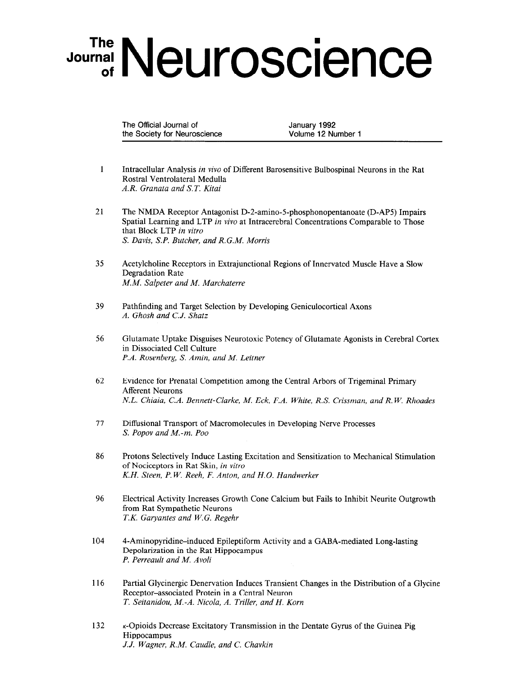## Journal Neuroscience

The Official Journal of January 1992 the Society for Neuroscience Volume 12 Number 1

- 1 Intracellular Analysis in viva of Different Barosensitive Bulbospinal Neurons in the Rat Rostra1 Ventrolateral Medulla A.R. Granata and S.T. Kitai
- 21 The NMDA Receptor Antagonist D-2-amino-5-phosphonopentanoate (D-AP5) Impairs Spatial Learning and LTP in vivo at Intracerebral Concentrations Comparable to Those that Block LTP in vitro S. Davis, S.P. Butcher, and R.G.M. Morris
- 35 Acetylcholine Receptors in Extrajunctional Regions of Innervated Muscle Have a Slow Degradation Rate MM. Salpeter and M. Marchaterre
- 39 Pathfinding and Target Selection by Developing Geniculocortical Axons A. Ghosh and C.J. Shatz
- 56 Glutamate Uptake Disguises Neurotoxic Potency of Glutamate Agonists in Cerebral Cortex in Dissociated Cell Culture P.A. Rosenberg, S. Amin, and M. Leitner
- 62 Evidence for Prenatal Competition among the Central Arbors of Trigeminal Primary Afferent Neurons N.L. Chiaia, C.A. Bennett-Clarke, M. Eck, F.A. White, R.S. Crissman, and R. W. Rhoades
- 77 Diffusional Transport of Macromolecules in Developing Nerve Processes S. Popov and M.-m. Poo
- 86 Protons Selectively Induce Lasting Excitation and Sensitization to Mechanical Stimulation of North Science of North Skins, in the Skin, in vitros in vitros in vitros in vitros in vitros in vitros in v of Nociceptors in Rat Skin, in vitro<br>K.H. Steen, P.W. Reeh, F. Anton, and H.O. Handwerker
- 96 Electrical Activity Increases Growth Cone Calcium but Fails to Inhibit Neurite Outgrowth from Rat Sympathetic Neurons T.K. Garyantes and W.G. Regehr
- 104 4-Aminopyridine-induced Epileptiform Activity and a GABA-mediated Long-lasting 4-Anniopyriume-muuceu Ephepulorii Depolarization in the Rat Hippocampus<br>P. Perreault and M. Avoli
- 116 Partial Glycinergic Denervation Induces Transient Changes in the Distribution of a Glycine Parual Chycinergic Denervation induces Transie Receptor-associated Protein in a Central Neuron<br>T. Seitanidou, M.-A. Nicola, A. Triller, and H. Korn
- 132  $K_{\rm eff}$ k-Opiolas D Hippocampus<br>J.J. Wagner, R.M. Caudle, and C. Chavkin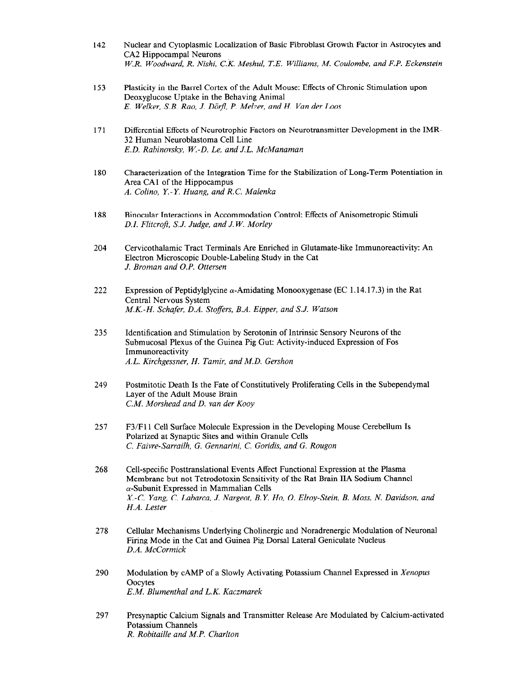- 142 Nuclear and Cytoplasmic Localization of Basic Fibroblast Growth Factor in Astrocytes and CA2 Hippocampal Neurons W.R. Woodward, R. Nishi, C.K. Meshul, T.E. Williams, M. Coulombe, and F.P. Eckenstein
- 153 Plasticity in the Barrel Cortex of the Adult Mouse: Effects of Chronic Stimulation upon Deoxyglucose Uptake in the Behaving Animal E. Welker, S.B. Rao, J. Dörfl, P. Melzer, and H. Van der Loos
- 171 Differential Effects of Neurotrophic Factors on Neurotransmitter Development in the IMR-32 Human Neuroblastoma Cell Line E.D. Rabinovsky, W.-D. Le, and J.L. McManaman
- 180 Characterization of the Integration Time for the Stabilization of Long-Term Potentiation in Area CA1 of the Hippocampus A. Colino, Y.-Y. Huang, and R.C. Malenka
- 188 Binocular Interactions in Accommodation Control: Effects of Anisometropic Stimuli D.I. Flitcroft, S.J. Judge, and J.W. Morley
- 204 Cervicothalamic Tract Terminals Are Enriched in Glutamate-like Immunoreactivity: An Electron Microscopic Double-Labeling Study in the Cat J. Broman and O.P. Ottersen
- 222 Expression of Peptidylglycine  $\alpha$ -Amidating Monooxygenase (EC 1.14.17.3) in the Rat Central Nervous System M.K.-H. Schafer, D.A. Stoffers, B.A. Eipper, and S.J. Watson
- 235 Identification and Stimulation by Serotonin of Intrinsic Sensory Neurons of the Submucosal Plexus of the Guinea Pig Gut: Activity-induced Expression of Fos Immunoreactivity A.L. Kirchgessner, H. Tamir, and M.D. Gershon
- 249 Postmitotic Death Is the Fate of Constitutively Proliferating Cells in the Subependymal Layer of the Adult Mouse Brain CM. Morshead and D. van der Kooy
- 257 F3/Fll Cell Surface Molecule Expression in the Developing Mouse Cerebellum Is Polarized at Synaptic Sites and within Granule Cells C. Faivre-Sarrailh, G. Gennarini, C. Goridis, and G. Rougon
- 268 Cell-specific Posttranslational Events Affect Functional Expression at the Plasma CON-specific I Ostitalistational Events Affect I directional Expression at the Frasma  $\alpha$ -Subunit Expressed in  $\alpha$ -Subsets in  $\alpha$ X-Subulut Expressed in Manufacture C. Labarca, S. N. A. Moss, N. D. Moss, N. D. Moss, N. Moss, N. D. Moss, N.  $\frac{A. - C}{I}$ . Lung
- 278 Cellular Mechanisms Underlying Cholinergic and Noradrenergic Modulation of Neuronal Firing Mode in the Cat and Guinea Pig Dorsal Lateral Geniculate Nucleus Firing Mode in the Cat and Guinea Pig Dorsal Lateral Geniculate Nucleus D.A. McCormick
- 290 Modulation by CAMP of a Slowly Activating Potassium Channel Expressed in Xenopus **Noquia** Oocytes<br>E.M. Blumenthal and L.K. Kaczmarek
- 297 Presynaptic Calciun Potassium Channels<br>R. Robitaille and M.P. Charlton